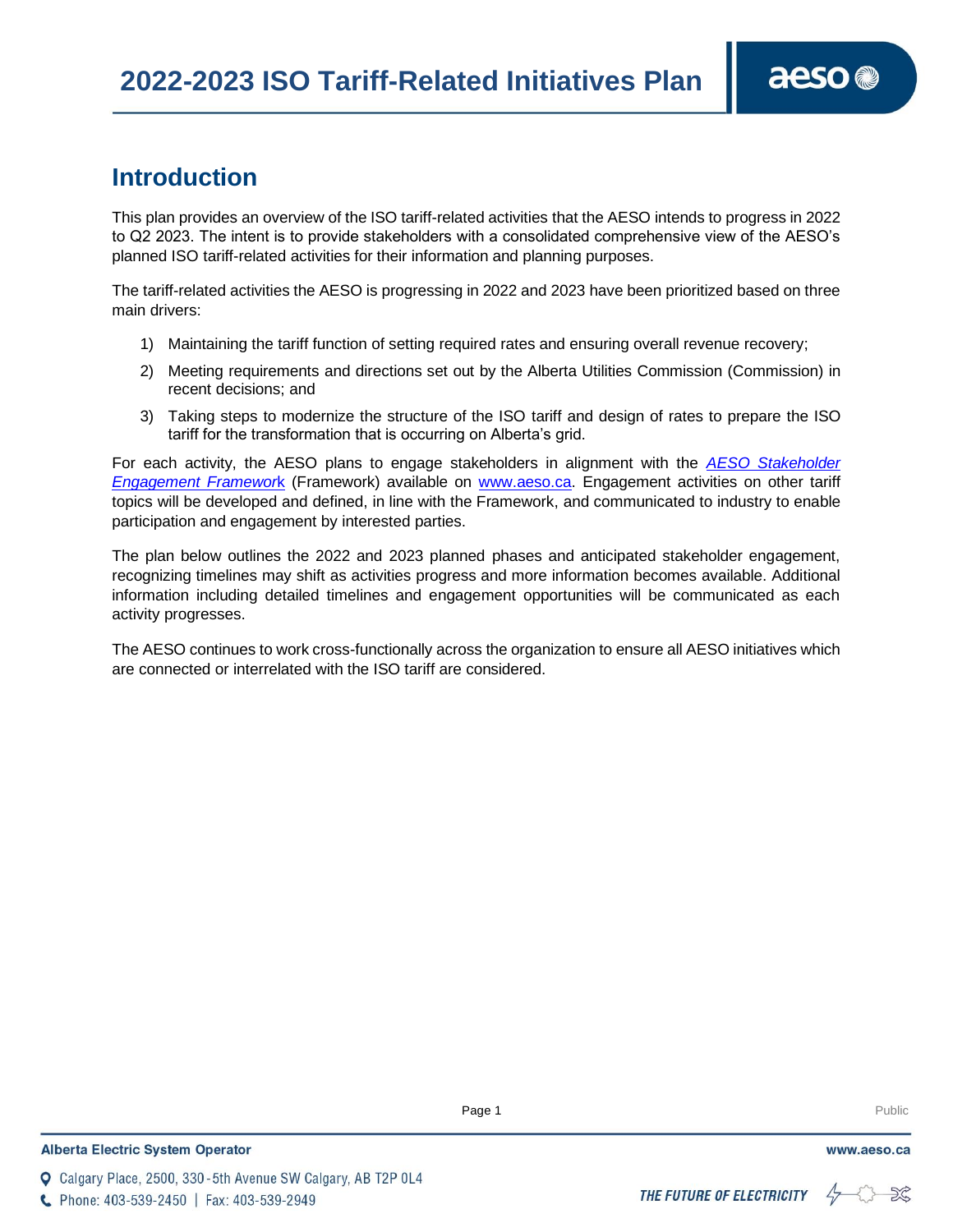# **Introduction**

This plan provides an overview of the ISO tariff-related activities that the AESO intends to progress in 2022 to Q2 2023. The intent is to provide stakeholders with a consolidated comprehensive view of the AESO's planned ISO tariff-related activities for their information and planning purposes.

The tariff-related activities the AESO is progressing in 2022 and 2023 have been prioritized based on three main drivers:

- 1) Maintaining the tariff function of setting required rates and ensuring overall revenue recovery;
- 2) Meeting requirements and directions set out by the Alberta Utilities Commission (Commission) in recent decisions; and
- 3) Taking steps to modernize the structure of the ISO tariff and design of rates to prepare the ISO tariff for the transformation that is occurring on Alberta's grid.

For each activity, the AESO plans to engage stakeholders in alignment with the *[AESO Stakeholder](https://www.aeso.ca/assets/downloads/Stakeholder-Engagement-Framework-Report-FINAL.pdf)  [Engagement Framewor](https://www.aeso.ca/assets/downloads/Stakeholder-Engagement-Framework-Report-FINAL.pdf)*k (Framework) available on [www.aeso.ca.](http://www.aeso.ca/) Engagement activities on other tariff topics will be developed and defined, in line with the Framework, and communicated to industry to enable participation and engagement by interested parties.

The plan below outlines the 2022 and 2023 planned phases and anticipated stakeholder engagement, recognizing timelines may shift as activities progress and more information becomes available. Additional information including detailed timelines and engagement opportunities will be communicated as each activity progresses.

The AESO continues to work cross-functionally across the organization to ensure all AESO initiatives which are connected or interrelated with the ISO tariff are considered.

**Q** Calgary Place, 2500, 330-5th Avenue SW Calgary, AB T2P 0L4

C Phone: 403-539-2450 | Fax: 403-539-2949

**Enter Football Page 1** Public Page 1 **Public Public Public Public Public Public Public Public Public Public Public Public Public Public Public Public Public Public Public Public Public Public Public Public Public Public P** 

aeso<sup>®</sup>

## THE FUTURE OF ELECTRICITY

 $47$  $52$ 

www.aeso.ca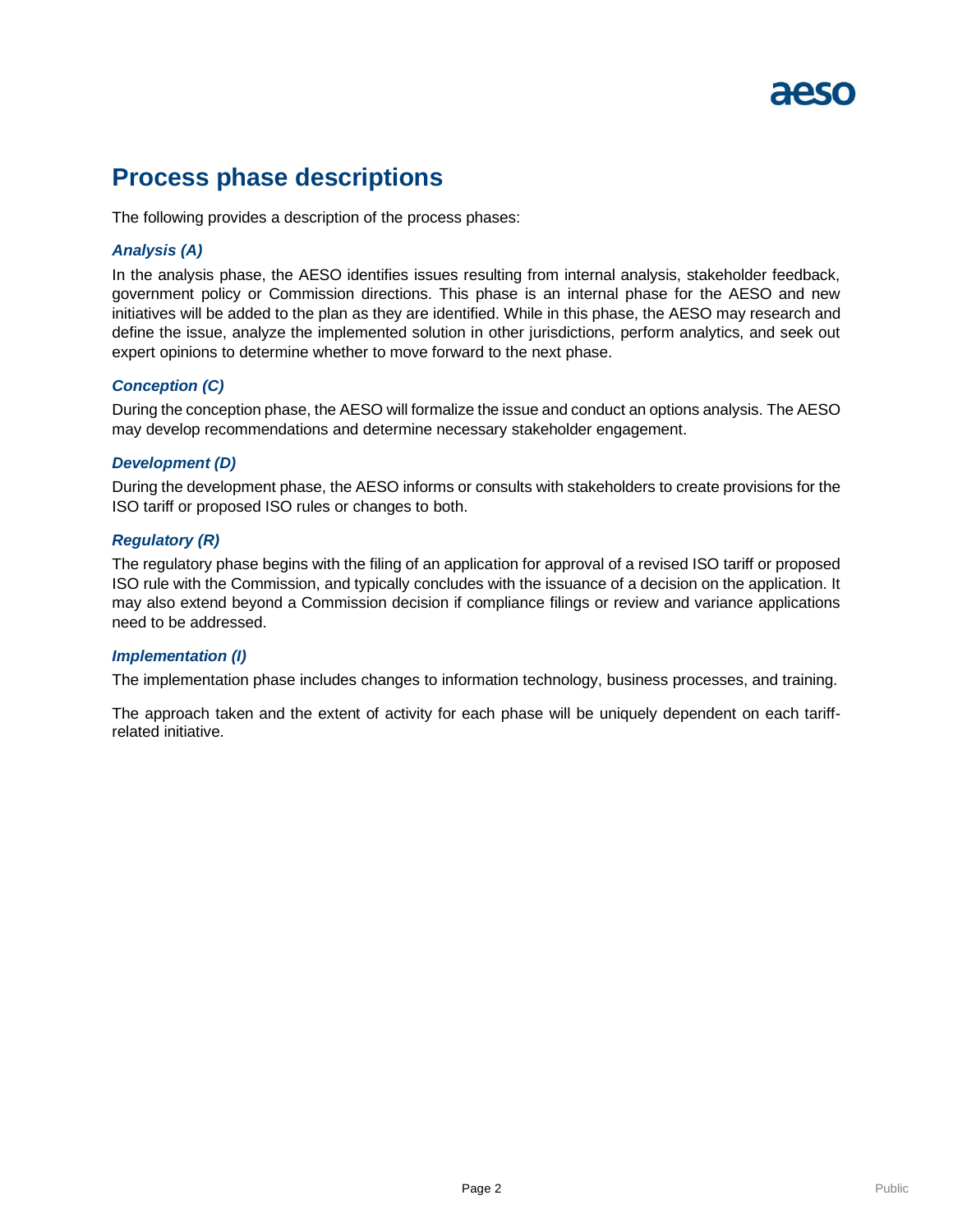# **Process phase descriptions**

The following provides a description of the process phases:

## *Analysis (A)*

In the analysis phase, the AESO identifies issues resulting from internal analysis, stakeholder feedback, government policy or Commission directions. This phase is an internal phase for the AESO and new initiatives will be added to the plan as they are identified. While in this phase, the AESO may research and define the issue, analyze the implemented solution in other jurisdictions, perform analytics, and seek out expert opinions to determine whether to move forward to the next phase.

### *Conception (C)*

During the conception phase, the AESO will formalize the issue and conduct an options analysis. The AESO may develop recommendations and determine necessary stakeholder engagement.

#### *Development (D)*

During the development phase, the AESO informs or consults with stakeholders to create provisions for the ISO tariff or proposed ISO rules or changes to both.

#### *Regulatory (R)*

The regulatory phase begins with the filing of an application for approval of a revised ISO tariff or proposed ISO rule with the Commission, and typically concludes with the issuance of a decision on the application. It may also extend beyond a Commission decision if compliance filings or review and variance applications need to be addressed.

#### *Implementation (I)*

The implementation phase includes changes to information technology, business processes, and training.

The approach taken and the extent of activity for each phase will be uniquely dependent on each tariffrelated initiative.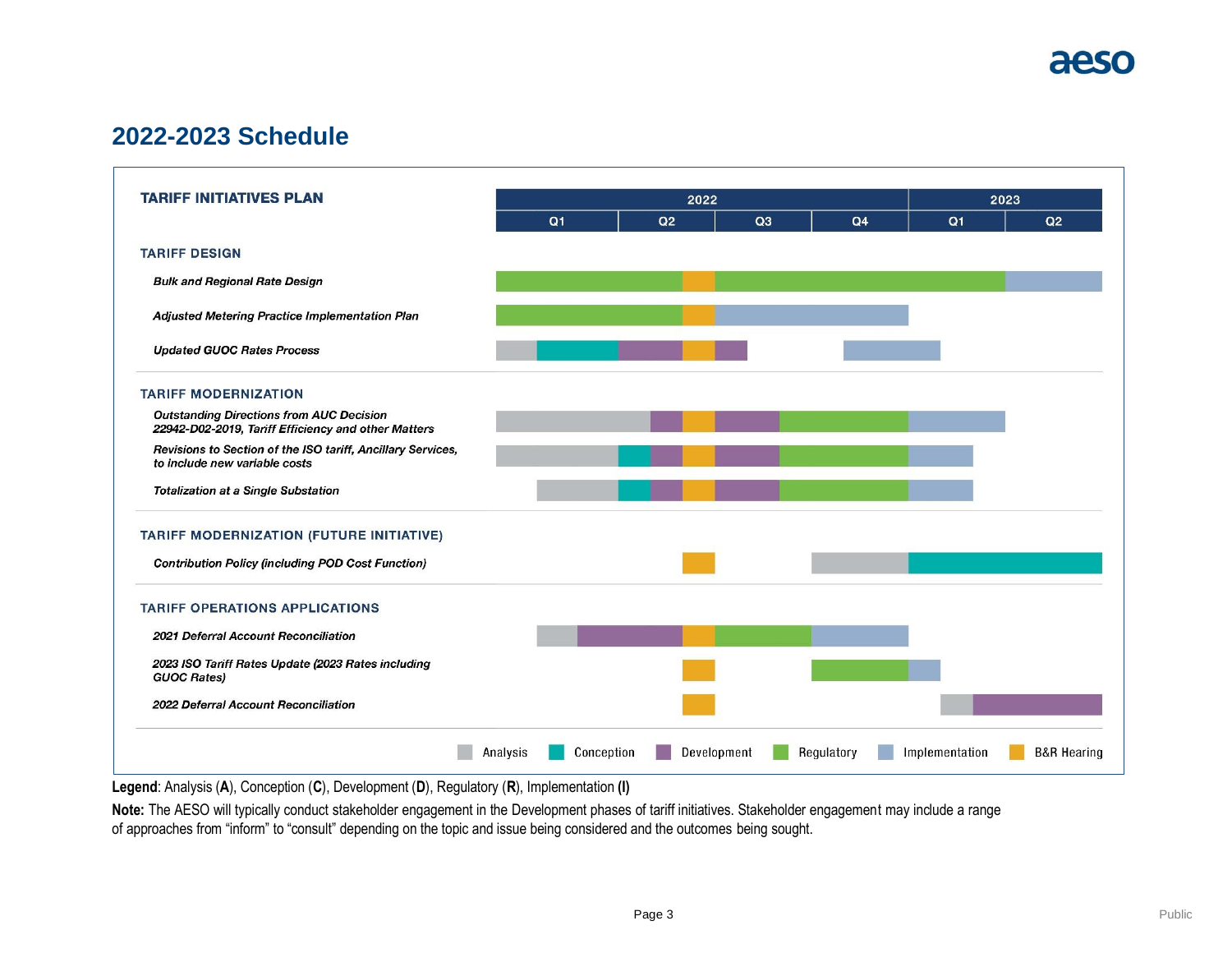

# **2022-2023 Schedule**



**Legend**: Analysis (**A**), Conception (**C**), Development (**D**), Regulatory (**R**), Implementation **(I)**

**Note:** The AESO will typically conduct stakeholder engagement in the Development phases of tariff initiatives. Stakeholder engagement may include a range of approaches from "inform" to "consult" depending on the topic and issue being considered and the outcomes being sought.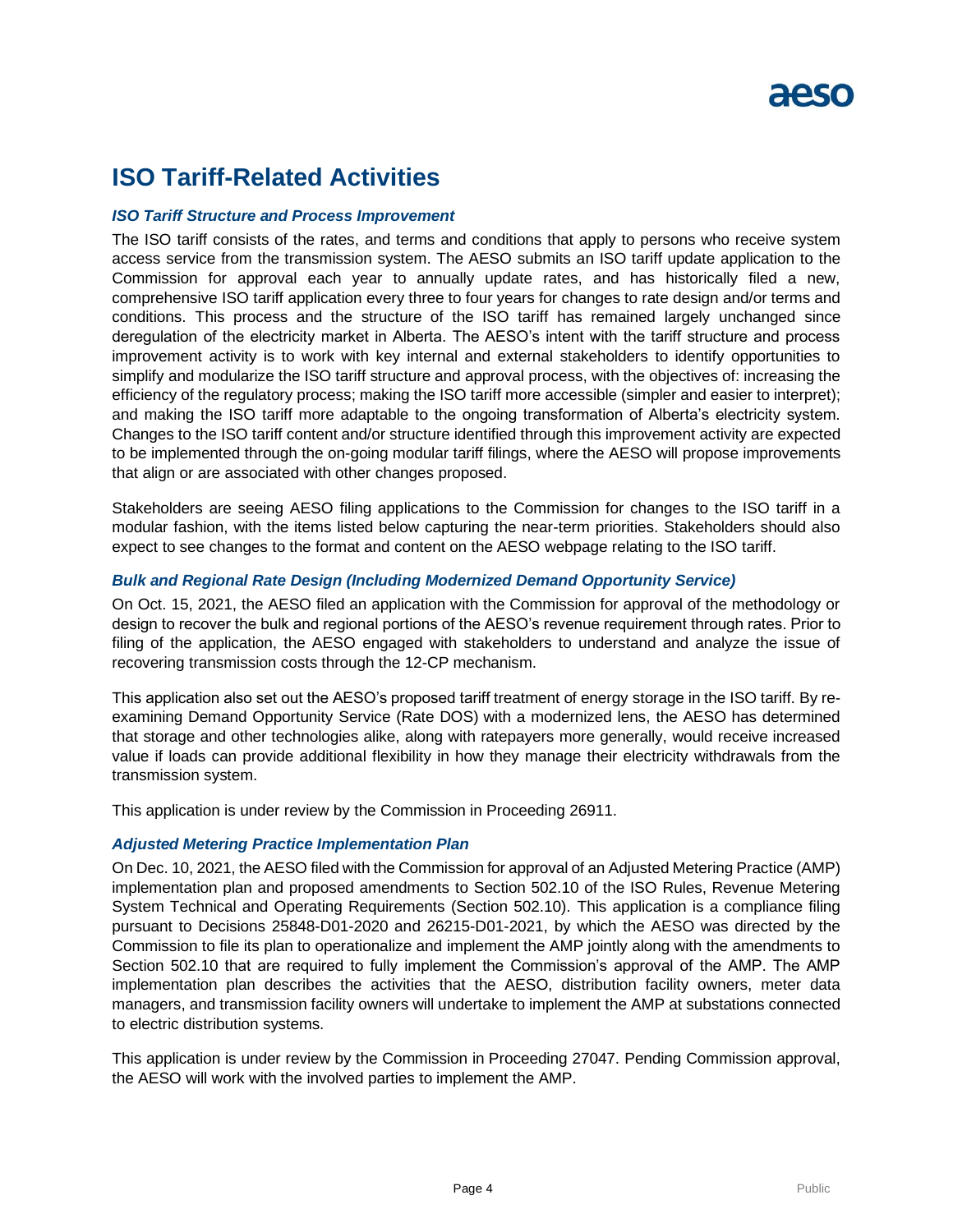# **ISO Tariff-Related Activities**

### *ISO Tariff Structure and Process Improvement*

The ISO tariff consists of the rates, and terms and conditions that apply to persons who receive system access service from the transmission system. The AESO submits an ISO tariff update application to the Commission for approval each year to annually update rates, and has historically filed a new, comprehensive ISO tariff application every three to four years for changes to rate design and/or terms and conditions. This process and the structure of the ISO tariff has remained largely unchanged since deregulation of the electricity market in Alberta. The AESO's intent with the tariff structure and process improvement activity is to work with key internal and external stakeholders to identify opportunities to simplify and modularize the ISO tariff structure and approval process, with the objectives of: increasing the efficiency of the regulatory process; making the ISO tariff more accessible (simpler and easier to interpret); and making the ISO tariff more adaptable to the ongoing transformation of Alberta's electricity system. Changes to the ISO tariff content and/or structure identified through this improvement activity are expected to be implemented through the on-going modular tariff filings, where the AESO will propose improvements that align or are associated with other changes proposed.

Stakeholders are seeing AESO filing applications to the Commission for changes to the ISO tariff in a modular fashion, with the items listed below capturing the near-term priorities. Stakeholders should also expect to see changes to the format and content on the AESO webpage relating to the ISO tariff.

### *[Bulk and Regional Rate Design \(Including Modernized Demand Opportunity Service\)](https://www.aeso.ca/rules-standards-and-tariff/tariff/current-applications/)*

On Oct. 15, 2021, the AESO filed an application with the Commission for approval of the methodology or design to recover the bulk and regional portions of the AESO's revenue requirement through rates. Prior to filing of the application, the AESO engaged with stakeholders to understand and analyze the issue of recovering transmission costs through the 12-CP mechanism.

This application also set out the AESO's proposed tariff treatment of energy storage in the ISO tariff. By reexamining Demand Opportunity Service (Rate DOS) with a modernized lens, the AESO has determined that storage and other technologies alike, along with ratepayers more generally, would receive increased value if loads can provide additional flexibility in how they manage their electricity withdrawals from the transmission system.

This application is under review by the Commission in Proceeding 26911.

#### *Adjusted Metering Practice Implementation Plan*

On Dec. 10, 2021, the AESO filed with the Commission for approval of an Adjusted Metering Practice (AMP) implementation plan and proposed amendments to Section 502.10 of the ISO Rules, Revenue Metering System Technical and Operating Requirements (Section 502.10). This application is a compliance filing pursuant to Decisions 25848-D01-2020 and 26215-D01-2021, by which the AESO was directed by the Commission to file its plan to operationalize and implement the AMP jointly along with the amendments to Section 502.10 that are required to fully implement the Commission's approval of the AMP. The AMP implementation plan describes the activities that the AESO, distribution facility owners, meter data managers, and transmission facility owners will undertake to implement the AMP at substations connected to electric distribution systems.

This application is under review by the Commission in Proceeding 27047. Pending Commission approval, the AESO will work with the involved parties to implement the AMP.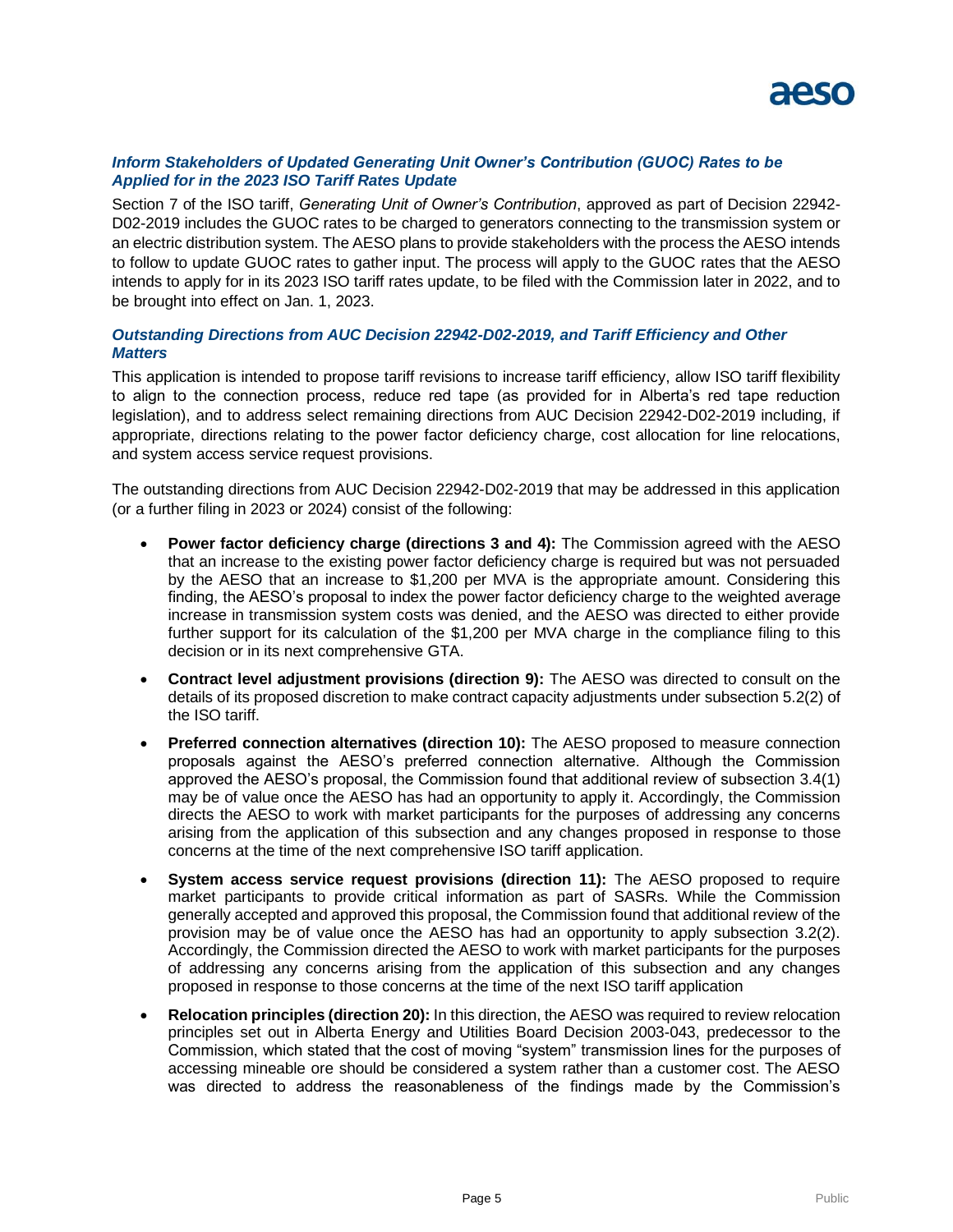

### *Inform Stakeholders of Updated Generating Unit Owner's Contribution (GUOC) Rates to be Applied for in the 2023 ISO Tariff Rates Update*

Section 7 of the ISO tariff, *Generating Unit of Owner's Contribution*, approved as part of Decision 22942- D02-2019 includes the GUOC rates to be charged to generators connecting to the transmission system or an electric distribution system. The AESO plans to provide stakeholders with the process the AESO intends to follow to update GUOC rates to gather input. The process will apply to the GUOC rates that the AESO intends to apply for in its 2023 ISO tariff rates update, to be filed with the Commission later in 2022, and to be brought into effect on Jan. 1, 2023.

### *Outstanding Directions from AUC Decision 22942-D02-2019, and Tariff Efficiency and Other Matters*

This application is intended to propose tariff revisions to increase tariff efficiency, allow ISO tariff flexibility to align to the connection process, reduce red tape (as provided for in Alberta's red tape reduction legislation), and to address select remaining directions from AUC Decision 22942-D02-2019 including, if appropriate, directions relating to the power factor deficiency charge, cost allocation for line relocations, and system access service request provisions.

The outstanding directions from AUC Decision 22942-D02-2019 that may be addressed in this application (or a further filing in 2023 or 2024) consist of the following:

- **Power factor deficiency charge (directions 3 and 4):** The Commission agreed with the AESO that an increase to the existing power factor deficiency charge is required but was not persuaded by the AESO that an increase to \$1,200 per MVA is the appropriate amount. Considering this finding, the AESO's proposal to index the power factor deficiency charge to the weighted average increase in transmission system costs was denied, and the AESO was directed to either provide further support for its calculation of the \$1,200 per MVA charge in the compliance filing to this decision or in its next comprehensive GTA.
- **Contract level adjustment provisions (direction 9):** The AESO was directed to consult on the details of its proposed discretion to make contract capacity adjustments under subsection 5.2(2) of the ISO tariff.
- **Preferred connection alternatives (direction 10):** The AESO proposed to measure connection proposals against the AESO's preferred connection alternative. Although the Commission approved the AESO's proposal, the Commission found that additional review of subsection 3.4(1) may be of value once the AESO has had an opportunity to apply it. Accordingly, the Commission directs the AESO to work with market participants for the purposes of addressing any concerns arising from the application of this subsection and any changes proposed in response to those concerns at the time of the next comprehensive ISO tariff application.
- **System access service request provisions (direction 11):** The AESO proposed to require market participants to provide critical information as part of SASRs. While the Commission generally accepted and approved this proposal, the Commission found that additional review of the provision may be of value once the AESO has had an opportunity to apply subsection 3.2(2). Accordingly, the Commission directed the AESO to work with market participants for the purposes of addressing any concerns arising from the application of this subsection and any changes proposed in response to those concerns at the time of the next ISO tariff application
- **Relocation principles (direction 20):** In this direction, the AESO was required to review relocation principles set out in Alberta Energy and Utilities Board Decision 2003-043, predecessor to the Commission, which stated that the cost of moving "system" transmission lines for the purposes of accessing mineable ore should be considered a system rather than a customer cost. The AESO was directed to address the reasonableness of the findings made by the Commission's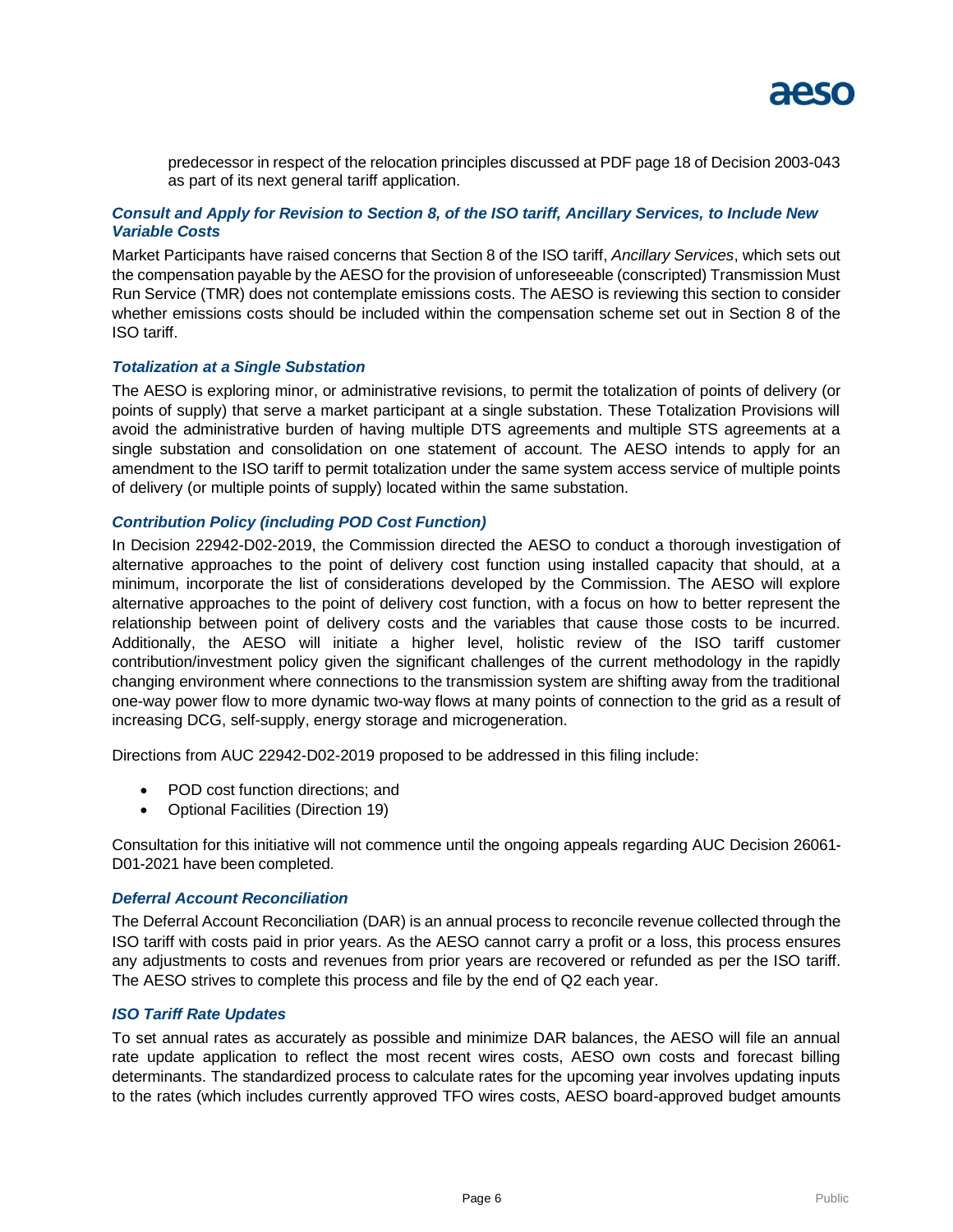

predecessor in respect of the relocation principles discussed at PDF page 18 of Decision 2003-043 as part of its next general tariff application.

### *Consult and Apply for Revision to Section 8, of the ISO tariff, Ancillary Services, to Include New Variable Costs*

Market Participants have raised concerns that Section 8 of the ISO tariff, *Ancillary Services*, which sets out the compensation payable by the AESO for the provision of unforeseeable (conscripted) Transmission Must Run Service (TMR) does not contemplate emissions costs. The AESO is reviewing this section to consider whether emissions costs should be included within the compensation scheme set out in Section 8 of the ISO tariff.

#### *Totalization at a Single Substation*

The AESO is exploring minor, or administrative revisions, to permit the totalization of points of delivery (or points of supply) that serve a market participant at a single substation. These Totalization Provisions will avoid the administrative burden of having multiple DTS agreements and multiple STS agreements at a single substation and consolidation on one statement of account. The AESO intends to apply for an amendment to the ISO tariff to permit totalization under the same system access service of multiple points of delivery (or multiple points of supply) located within the same substation.

#### *Contribution Policy (including POD Cost Function)*

In Decision 22942-D02-2019, the Commission directed the AESO to conduct a thorough investigation of alternative approaches to the point of delivery cost function using installed capacity that should, at a minimum, incorporate the list of considerations developed by the Commission. The AESO will explore alternative approaches to the point of delivery cost function, with a focus on how to better represent the relationship between point of delivery costs and the variables that cause those costs to be incurred. Additionally, the AESO will initiate a higher level, holistic review of the ISO tariff customer contribution/investment policy given the significant challenges of the current methodology in the rapidly changing environment where connections to the transmission system are shifting away from the traditional one-way power flow to more dynamic two-way flows at many points of connection to the grid as a result of increasing DCG, self-supply, energy storage and microgeneration.

Directions from AUC 22942-D02-2019 proposed to be addressed in this filing include:

- POD cost function directions: and
- Optional Facilities (Direction 19)

Consultation for this initiative will not commence until the ongoing appeals regarding AUC Decision 26061- D01-2021 have been completed.

#### *[Deferral Account Reconciliation](https://www.aeso.ca/rules-standards-and-tariff/tariff/current-applications/)*

The Deferral Account Reconciliation (DAR) is an annual process to reconcile revenue collected through the ISO tariff with costs paid in prior years. As the AESO cannot carry a profit or a loss, this process ensures any adjustments to costs and revenues from prior years are recovered or refunded as per the ISO tariff. The AESO strives to complete this process and file by the end of Q2 each year.

#### *[ISO Tariff Rate Updates](https://www.aeso.ca/rules-standards-and-tariff/tariff/current-applications/)*

To set annual rates as accurately as possible and minimize DAR balances, the AESO will file an annual rate update application to reflect the most recent wires costs, AESO own costs and forecast billing determinants. The standardized process to calculate rates for the upcoming year involves updating inputs to the rates (which includes currently approved TFO wires costs, AESO board-approved budget amounts